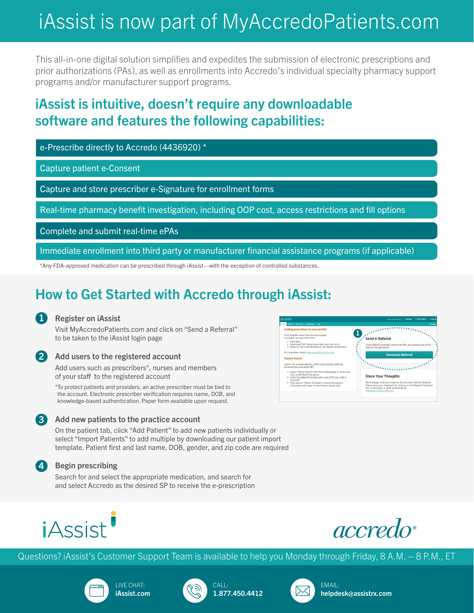# iAssist is now part of MyAccredoPatients.com

This all-in-one digital solution simplifies and expedites the submission of electronic prescriptions and prior authorizations (PAs), as well as enrollments into Accredo's individual specialty pharmacy support programs and/or manufacturer support programs.

## iAssist is intuitive, doesn't require any downloadable software and features the following capabilities:

e-Prescribe directly to Accredo (4436920) \*

Capture patient e-Consent

Capture and store prescriber e-Signature for enrollment forms

Real-time pharmacy benefit investigation, including OOP cost, access restrictions and fill options

Complete and submit real-time ePAs

Immediate enrollment into third party or manufacturer financial assistance programs (if applicable)

\*Any FDA-approved medication can be prescribed through iAssist—with the exception of controlled substances.

## How to Get Started with Accredo through iAssist:

### Register on iAssist 1

Visit MyAccredoPatients.com and click on "Send a Referral" to be taken to the iAssist login page



4

### Add users to the registered account

Add users such as prescribers\*, nurses and members of your staff to the registered account

\*To protect patients and providers, an active prescriber must be tied to the account. Electronic prescriber verification requires name, DOB, and knowledge-based authentication. Paper form available upon request.

### Add new patients to the practice account 3

On the patient tab, click "Add Patient" to add new patients individually or select "Import Patients" to add multiple by downloading our patient import template. Patient first and last name, DOB, gender, and zip code are required

### Begin prescribing

Search for and select the appropriate medication, and search for and select Accredo as the desired SP to receive the e-prescription







Questions? iAssist's Customer Support Team is available to help you Monday through Friday, 8 A.M. – 8 P.M., ET









EMAIL: helpdesk@assistrx.com